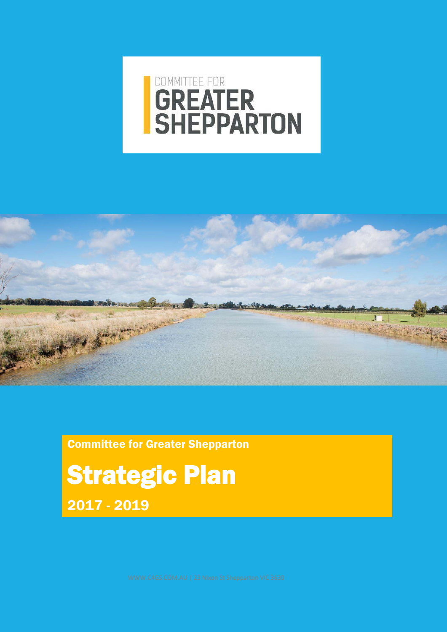# **GREATER**<br>SHEPPARTON



Committee for Greater Shepparton

Strategic Plan 2017 - 2019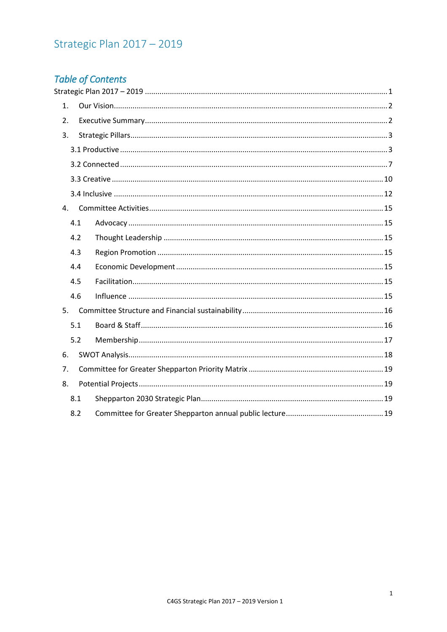# <span id="page-1-0"></span>Strategic Plan 2017 - 2019

## **Table of Contents**

| 1. |     |  |  |
|----|-----|--|--|
| 2. |     |  |  |
| 3. |     |  |  |
|    |     |  |  |
|    |     |  |  |
|    |     |  |  |
|    |     |  |  |
| 4. |     |  |  |
|    | 4.1 |  |  |
|    | 4.2 |  |  |
|    | 4.3 |  |  |
|    | 4.4 |  |  |
|    | 4.5 |  |  |
|    | 4.6 |  |  |
| 5. |     |  |  |
|    | 5.1 |  |  |
|    | 5.2 |  |  |
| 6. |     |  |  |
| 7. |     |  |  |
| 8. |     |  |  |
|    | 8.1 |  |  |
|    | 8.2 |  |  |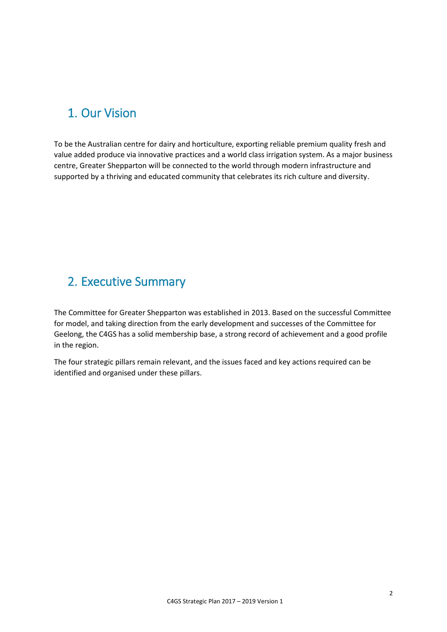# <span id="page-2-0"></span>1. Our Vision

To be the Australian centre for dairy and horticulture, exporting reliable premium quality fresh and value added produce via innovative practices and a world class irrigation system. As a major business centre, Greater Shepparton will be connected to the world through modern infrastructure and supported by a thriving and educated community that celebrates its rich culture and diversity.

## <span id="page-2-1"></span>2. Executive Summary

The Committee for Greater Shepparton was established in 2013. Based on the successful Committee for model, and taking direction from the early development and successes of the Committee for Geelong, the C4GS has a solid membership base, a strong record of achievement and a good profile in the region.

The four strategic pillars remain relevant, and the issues faced and key actions required can be identified and organised under these pillars.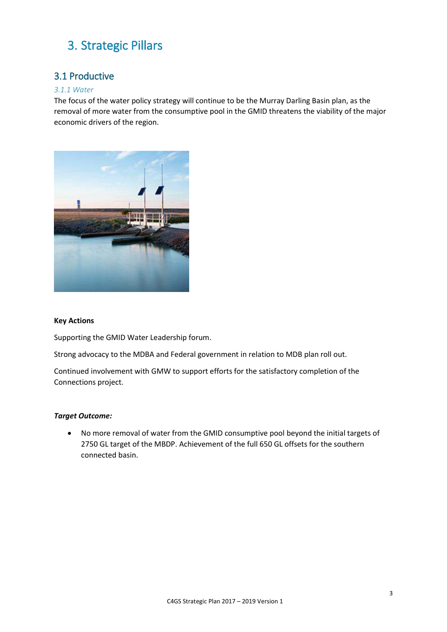## <span id="page-3-0"></span>3. Strategic Pillars

### <span id="page-3-1"></span>3.1 Productive

#### *3.1.1 Water*

The focus of the water policy strategy will continue to be the Murray Darling Basin plan, as the removal of more water from the consumptive pool in the GMID threatens the viability of the major economic drivers of the region.



#### **Key Actions**

Supporting the GMID Water Leadership forum.

Strong advocacy to the MDBA and Federal government in relation to MDB plan roll out.

Continued involvement with GMW to support efforts for the satisfactory completion of the Connections project.

#### *Target Outcome:*

• No more removal of water from the GMID consumptive pool beyond the initial targets of 2750 GL target of the MBDP. Achievement of the full 650 GL offsets for the southern connected basin.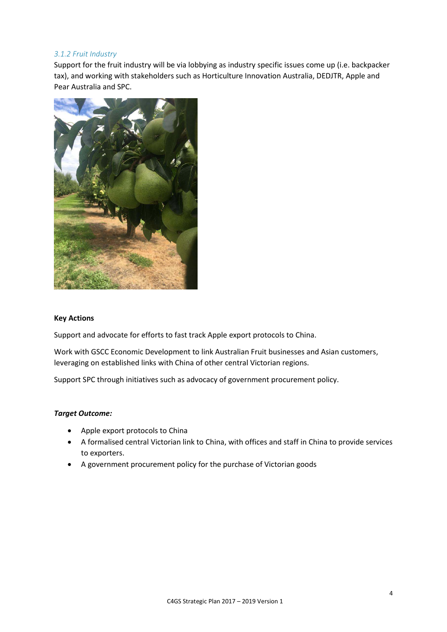#### *3.1.2 Fruit Industry*

Support for the fruit industry will be via lobbying as industry specific issues come up (i.e. backpacker tax), and working with stakeholders such as Horticulture Innovation Australia, DEDJTR, Apple and Pear Australia and SPC.



#### **Key Actions**

Support and advocate for efforts to fast track Apple export protocols to China.

Work with GSCC Economic Development to link Australian Fruit businesses and Asian customers, leveraging on established links with China of other central Victorian regions.

Support SPC through initiatives such as advocacy of government procurement policy.

#### *Target Outcome:*

- Apple export protocols to China
- A formalised central Victorian link to China, with offices and staff in China to provide services to exporters.
- A government procurement policy for the purchase of Victorian goods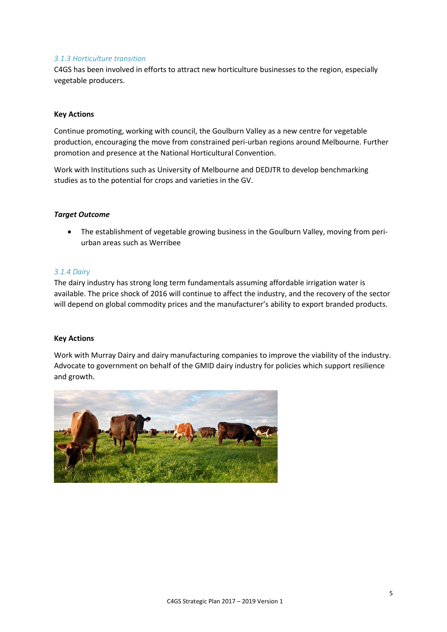#### 3.1.3 Horticulture transition

C4GS has been involved in efforts to attract new horticulture businesses to the region, especially vegetable producers.

#### **Key Actions**

Continue promoting, working with council, the Goulburn Valley as a new centre for vegetable production, encouraging the move from constrained peri-urban regions around Melbourne. Further promotion and presence at the National Horticultural Convention.

Work with Institutions such as University of Melbourne and DEDJTR to develop benchmarking studies as to the potential for crops and varieties in the GV.

#### **Target Outcome**

• The establishment of vegetable growing business in the Goulburn Valley, moving from periurban areas such as Werribee

#### 3.1.4 Dairy

The dairy industry has strong long term fundamentals assuming affordable irrigation water is available. The price shock of 2016 will continue to affect the industry, and the recovery of the sector will depend on global commodity prices and the manufacturer's ability to export branded products.

#### **Key Actions**

Work with Murray Dairy and dairy manufacturing companies to improve the viability of the industry. Advocate to government on behalf of the GMID dairy industry for policies which support resilience and growth.

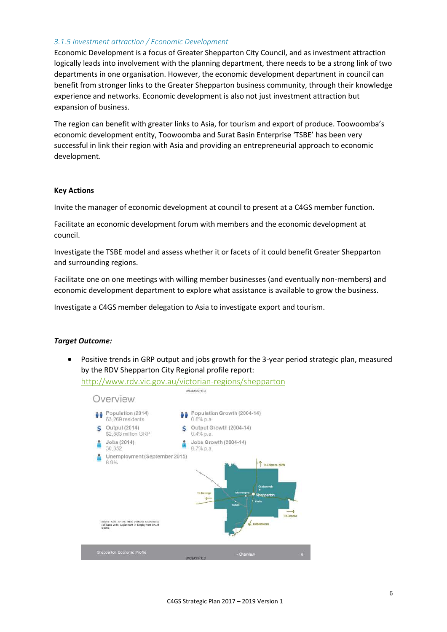#### *3.1.5 Investment attraction / Economic Development*

Economic Development is a focus of Greater Shepparton City Council, and as investment attraction logically leads into involvement with the planning department, there needs to be a strong link of two departments in one organisation. However, the economic development department in council can benefit from stronger links to the Greater Shepparton business community, through their knowledge experience and networks. Economic development is also not just investment attraction but expansion of business.

The region can benefit with greater links to Asia, for tourism and export of produce. Toowoomba's economic development entity, Toowoomba and Surat Basin Enterprise 'TSBE' has been very successful in link their region with Asia and providing an entrepreneurial approach to economic development.

#### **Key Actions**

Invite the manager of economic development at council to present at a C4GS member function.

Facilitate an economic development forum with members and the economic development at council.

Investigate the TSBE model and assess whether it or facets of it could benefit Greater Shepparton and surrounding regions.

Facilitate one on one meetings with willing member businesses (and eventually non-members) and economic development department to explore what assistance is available to grow the business.

Investigate a C4GS member delegation to Asia to investigate export and tourism.

#### *Target Outcome:*

• Positive trends in GRP output and jobs growth for the 3-year period strategic plan, measured by the RDV Shepparton City Regional profile report:

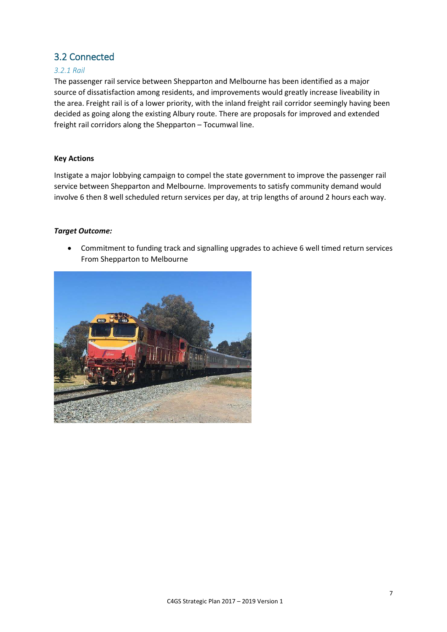## <span id="page-7-0"></span>3.2 Connected

#### *3.2.1 Rail*

The passenger rail service between Shepparton and Melbourne has been identified as a major source of dissatisfaction among residents, and improvements would greatly increase liveability in the area. Freight rail is of a lower priority, with the inland freight rail corridor seemingly having been decided as going along the existing Albury route. There are proposals for improved and extended freight rail corridors along the Shepparton – Tocumwal line.

#### **Key Actions**

Instigate a major lobbying campaign to compel the state government to improve the passenger rail service between Shepparton and Melbourne. Improvements to satisfy community demand would involve 6 then 8 well scheduled return services per day, at trip lengths of around 2 hours each way.

#### *Target Outcome:*

• Commitment to funding track and signalling upgrades to achieve 6 well timed return services From Shepparton to Melbourne

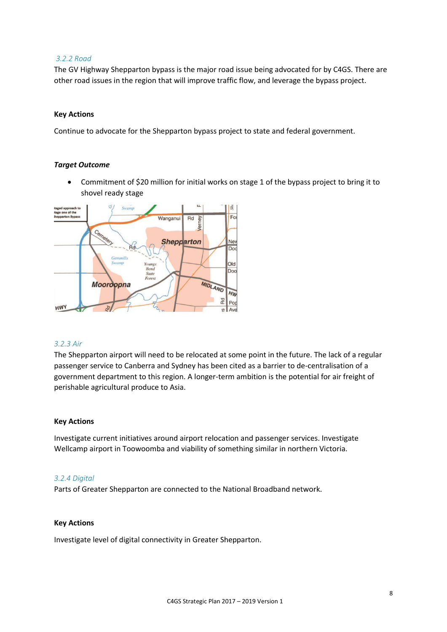#### *3.2.2 Road*

The GV Highway Shepparton bypass is the major road issue being advocated for by C4GS. There are other road issues in the region that will improve traffic flow, and leverage the bypass project.

#### **Key Actions**

Continue to advocate for the Shepparton bypass project to state and federal government.

#### *Target Outcome*

• Commitment of \$20 million for initial works on stage 1 of the bypass project to bring it to shovel ready stage



#### *3.2.3 Air*

The Shepparton airport will need to be relocated at some point in the future. The lack of a regular passenger service to Canberra and Sydney has been cited as a barrier to de-centralisation of a government department to this region. A longer-term ambition is the potential for air freight of perishable agricultural produce to Asia.

#### **Key Actions**

Investigate current initiatives around airport relocation and passenger services. Investigate Wellcamp airport in Toowoomba and viability of something similar in northern Victoria.

#### *3.2.4 Digital*

Parts of Greater Shepparton are connected to the National Broadband network.

#### **Key Actions**

Investigate level of digital connectivity in Greater Shepparton.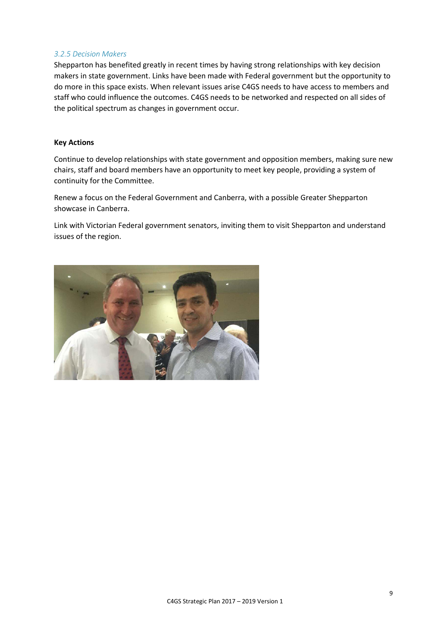#### *3.2.5 Decision Makers*

Shepparton has benefited greatly in recent times by having strong relationships with key decision makers in state government. Links have been made with Federal government but the opportunity to do more in this space exists. When relevant issues arise C4GS needs to have access to members and staff who could influence the outcomes. C4GS needs to be networked and respected on all sides of the political spectrum as changes in government occur.

#### **Key Actions**

Continue to develop relationships with state government and opposition members, making sure new chairs, staff and board members have an opportunity to meet key people, providing a system of continuity for the Committee.

Renew a focus on the Federal Government and Canberra, with a possible Greater Shepparton showcase in Canberra.

Link with Victorian Federal government senators, inviting them to visit Shepparton and understand issues of the region.

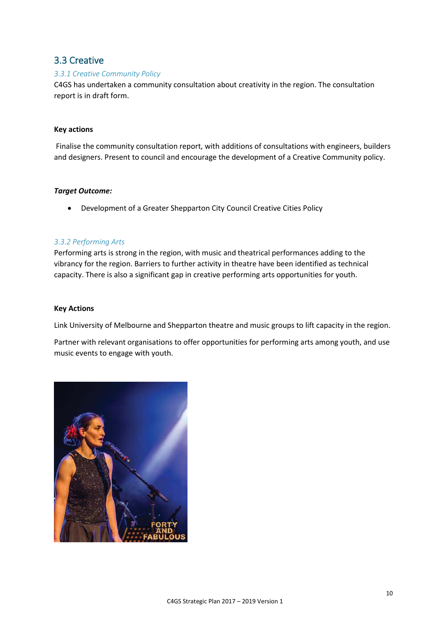## <span id="page-10-0"></span>3.3 Creative

#### *3.3.1 Creative Community Policy*

C4GS has undertaken a community consultation about creativity in the region. The consultation report is in draft form.

#### **Key actions**

 Finalise the community consultation report, with additions of consultations with engineers, builders and designers. Present to council and encourage the development of a Creative Community policy.

#### *Target Outcome:*

• Development of a Greater Shepparton City Council Creative Cities Policy

#### *3.3.2 Performing Arts*

Performing arts is strong in the region, with music and theatrical performances adding to the vibrancy for the region. Barriers to further activity in theatre have been identified as technical capacity. There is also a significant gap in creative performing arts opportunities for youth.

#### **Key Actions**

Link University of Melbourne and Shepparton theatre and music groups to lift capacity in the region.

Partner with relevant organisations to offer opportunities for performing arts among youth, and use music events to engage with youth.

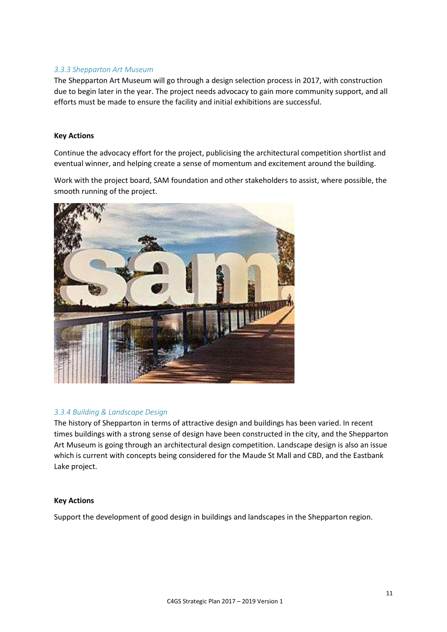#### *3.3.3 Shepparton Art Museum*

The Shepparton Art Museum will go through a design selection process in 2017, with construction due to begin later in the year. The project needs advocacy to gain more community support, and all efforts must be made to ensure the facility and initial exhibitions are successful.

#### **Key Actions**

Continue the advocacy effort for the project, publicising the architectural competition shortlist and eventual winner, and helping create a sense of momentum and excitement around the building.

Work with the project board, SAM foundation and other stakeholders to assist, where possible, the smooth running of the project.



#### *3.3.4 Building & Landscape Design*

The history of Shepparton in terms of attractive design and buildings has been varied. In recent times buildings with a strong sense of design have been constructed in the city, and the Shepparton Art Museum is going through an architectural design competition. Landscape design is also an issue which is current with concepts being considered for the Maude St Mall and CBD, and the Eastbank Lake project.

#### **Key Actions**

Support the development of good design in buildings and landscapes in the Shepparton region.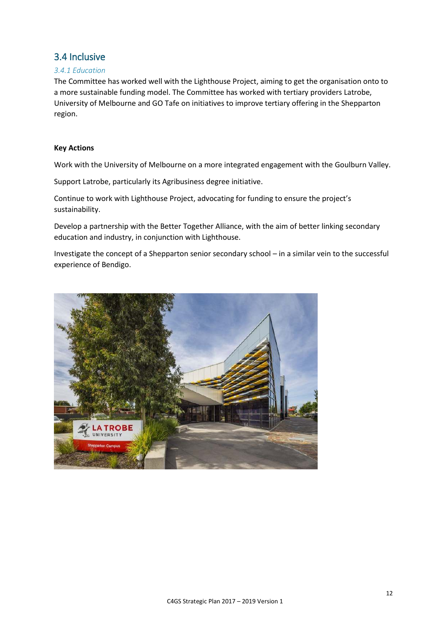## <span id="page-12-0"></span>3.4 Inclusive

#### *3.4.1 Education*

The Committee has worked well with the Lighthouse Project, aiming to get the organisation onto to a more sustainable funding model. The Committee has worked with tertiary providers Latrobe, University of Melbourne and GO Tafe on initiatives to improve tertiary offering in the Shepparton region.

#### **Key Actions**

Work with the University of Melbourne on a more integrated engagement with the Goulburn Valley.

Support Latrobe, particularly its Agribusiness degree initiative.

Continue to work with Lighthouse Project, advocating for funding to ensure the project's sustainability.

Develop a partnership with the Better Together Alliance, with the aim of better linking secondary education and industry, in conjunction with Lighthouse.

Investigate the concept of a Shepparton senior secondary school – in a similar vein to the successful experience of Bendigo.

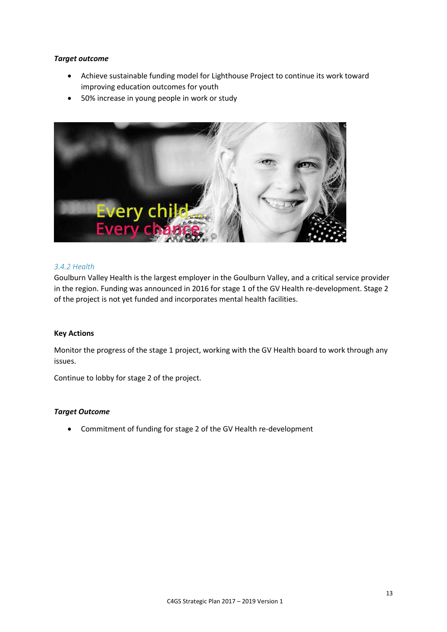#### *Target outcome*

- Achieve sustainable funding model for Lighthouse Project to continue its work toward improving education outcomes for youth
- 50% increase in young people in work or study



#### *3.4.2 Health*

Goulburn Valley Health is the largest employer in the Goulburn Valley, and a critical service provider in the region. Funding was announced in 2016 for stage 1 of the GV Health re-development. Stage 2 of the project is not yet funded and incorporates mental health facilities.

#### **Key Actions**

Monitor the progress of the stage 1 project, working with the GV Health board to work through any issues.

Continue to lobby for stage 2 of the project.

#### *Target Outcome*

• Commitment of funding for stage 2 of the GV Health re-development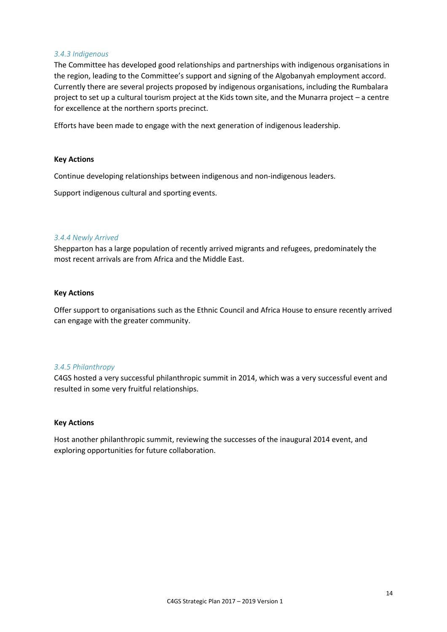#### *3.4.3 Indigenous*

The Committee has developed good relationships and partnerships with indigenous organisations in the region, leading to the Committee's support and signing of the Algobanyah employment accord. Currently there are several projects proposed by indigenous organisations, including the Rumbalara project to set up a cultural tourism project at the Kids town site, and the Munarra project – a centre for excellence at the northern sports precinct.

Efforts have been made to engage with the next generation of indigenous leadership.

#### **Key Actions**

Continue developing relationships between indigenous and non-indigenous leaders.

Support indigenous cultural and sporting events.

#### *3.4.4 Newly Arrived*

Shepparton has a large population of recently arrived migrants and refugees, predominately the most recent arrivals are from Africa and the Middle East.

#### **Key Actions**

Offer support to organisations such as the Ethnic Council and Africa House to ensure recently arrived can engage with the greater community.

#### *3.4.5 Philanthropy*

C4GS hosted a very successful philanthropic summit in 2014, which was a very successful event and resulted in some very fruitful relationships.

#### **Key Actions**

Host another philanthropic summit, reviewing the successes of the inaugural 2014 event, and exploring opportunities for future collaboration.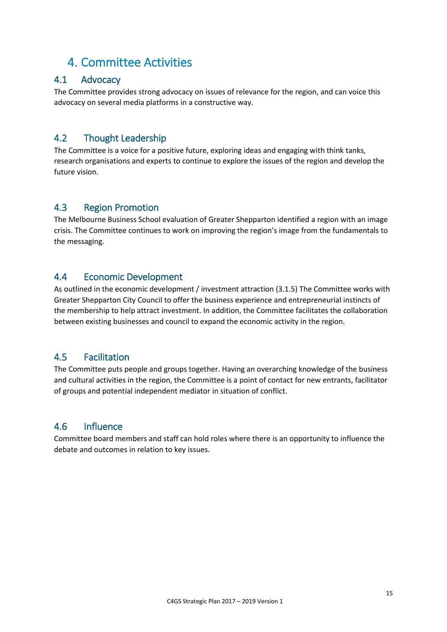## <span id="page-15-0"></span>4. Committee Activities

#### <span id="page-15-1"></span> $4.1$ Advocacy

The Committee provides strong advocacy on issues of relevance for the region, and can voice this advocacy on several media platforms in a constructive way.

#### <span id="page-15-2"></span> $4.2$ **Thought Leadership**

The Committee is a voice for a positive future, exploring ideas and engaging with think tanks, research organisations and experts to continue to explore the issues of the region and develop the future vision.

#### <span id="page-15-3"></span> $4.3$ **Region Promotion**

The Melbourne Business School evaluation of Greater Shepparton identified a region with an image crisis. The Committee continues to work on improving the region's image from the fundamentals to the messaging.

#### <span id="page-15-4"></span> $4.4$ **Economic Development**

As outlined in the economic development / investment attraction (3.1.5) The Committee works with Greater Shepparton City Council to offer the business experience and entrepreneurial instincts of the membership to help attract investment. In addition, the Committee facilitates the collaboration between existing businesses and council to expand the economic activity in the region.

#### <span id="page-15-5"></span>4.5 **Facilitation**

The Committee puts people and groups together. Having an overarching knowledge of the business and cultural activities in the region, the Committee is a point of contact for new entrants, facilitator of groups and potential independent mediator in situation of conflict.

#### <span id="page-15-6"></span>4.6 Influence

Committee board members and staff can hold roles where there is an opportunity to influence the debate and outcomes in relation to key issues.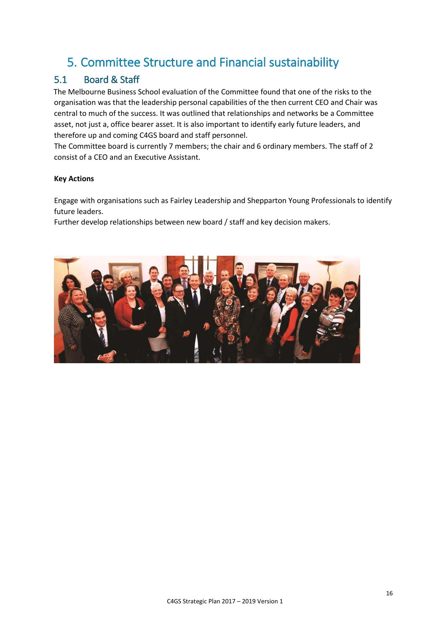# <span id="page-16-0"></span>5. Committee Structure and Financial sustainability

## <span id="page-16-1"></span>5.1 Board & Staff

The Melbourne Business School evaluation of the Committee found that one of the risks to the organisation was that the leadership personal capabilities of the then current CEO and Chair was central to much of the success. It was outlined that relationships and networks be a Committee asset, not just a, office bearer asset. It is also important to identify early future leaders, and therefore up and coming C4GS board and staff personnel.

The Committee board is currently 7 members; the chair and 6 ordinary members. The staff of 2 consist of a CEO and an Executive Assistant.

#### **Key Actions**

Engage with organisations such as Fairley Leadership and Shepparton Young Professionals to identify future leaders.

Further develop relationships between new board / staff and key decision makers.

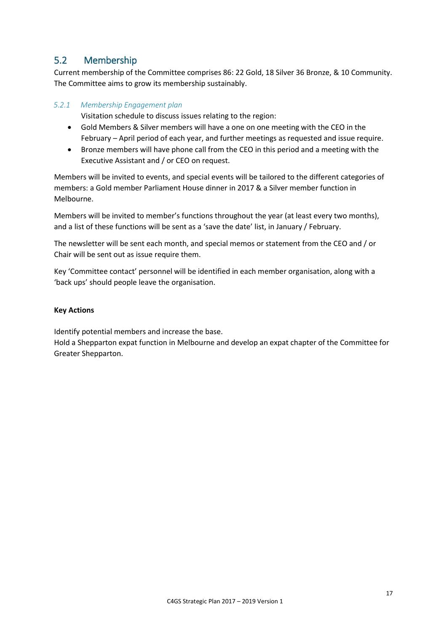#### <span id="page-17-0"></span> $5.2$ Membership

Current membership of the Committee comprises 86: 22 Gold, 18 Silver 36 Bronze, & 10 Community. The Committee aims to grow its membership sustainably.

#### 5.2.1 Membership Engagement plan

Visitation schedule to discuss issues relating to the region:

- Gold Members & Silver members will have a one on one meeting with the CEO in the February - April period of each year, and further meetings as requested and issue require.
- Bronze members will have phone call from the CEO in this period and a meeting with the  $\bullet$ Executive Assistant and / or CEO on request.

Members will be invited to events, and special events will be tailored to the different categories of members: a Gold member Parliament House dinner in 2017 & a Silver member function in Melhourne

Members will be invited to member's functions throughout the year (at least every two months), and a list of these functions will be sent as a 'save the date' list, in January / February.

The newsletter will be sent each month, and special memos or statement from the CEO and / or Chair will be sent out as issue require them.

Key 'Committee contact' personnel will be identified in each member organisation, along with a 'back ups' should people leave the organisation.

#### **Key Actions**

Identify potential members and increase the base.

Hold a Shepparton expat function in Melbourne and develop an expat chapter of the Committee for Greater Shepparton.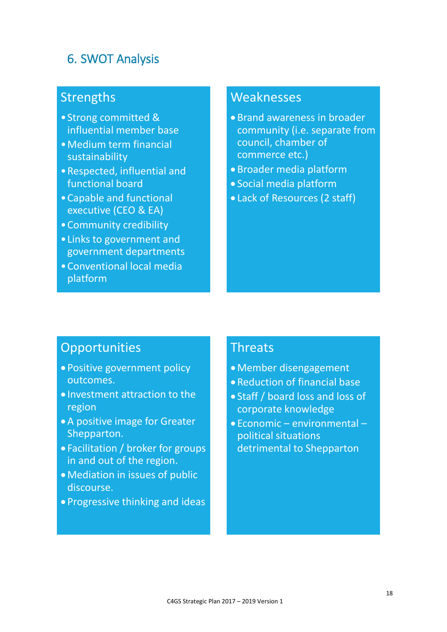## <span id="page-18-0"></span>6. SWOT Analysis

# Strengths

- •Strong committed & influential member base
- •Medium term financial sustainability
- •Respected, influential and functional board
- •Capable and functional executive (CEO & EA)
- •Community credibility
- •Links to government and government departments
- •Conventional local media platform

# Weaknesses

- Brand awareness in broader community (i.e. separate from council, chamber of commerce etc.)
- Broader media platform
- Social media platform
- Lack of Resources (2 staff)

## **Opportunities**

- Positive government policy outcomes.
- Investment attraction to the region
- •A positive image for Greater Shepparton.
- Facilitation / broker for groups in and out of the region.
- •Mediation in issues of public discourse.
- Progressive thinking and ideas

## **Threats**

- •Member disengagement
- Reduction of financial base
- Staff / board loss and loss of corporate knowledge
- Economic environmental political situations detrimental to Shepparton